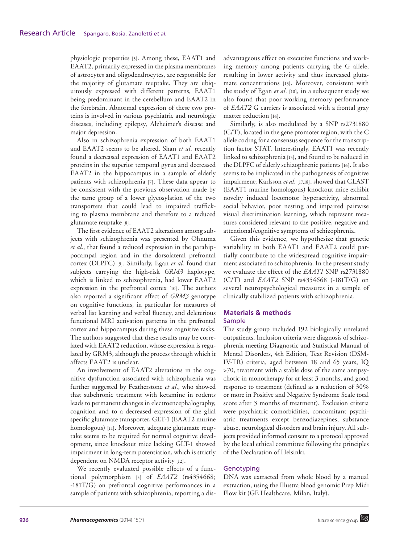physiologic properties [3]. Among these, EAAT1 and EAAT2, primarily expressed in the plasma membranes of astrocytes and oligodendrocytes, are responsible for the majority of glutamate reuptake. They are ubiquitously expressed with different patterns, EAAT1 being predominant in the cerebellum and EAAT2 in the forebrain. Abnormal expression of these two proteins is involved in various psychiatric and neurologic diseases, including epilepsy, Alzheimer's disease and major depression.

Also in schizophrenia expression of both EAAT1 and EAAT2 seems to be altered. Shan *et al.* recently found a decreased expression of EAAT1 and EAAT2 proteins in the superior temporal gyrus and decreased EAAT2 in the hippocampus in a sample of elderly patients with schizophrenia [7]. These data appear to be consistent with the previous observation made by the same group of a lower glycosylation of the two transporters that could lead to impaired trafficking to plasma membrane and therefore to a reduced glutamate reuptake [8].

The first evidence of EAAT2 alterations among subjects with schizophrenia was presented by Ohnuma *et al.*, that found a reduced expression in the parahippocampal region and in the dorsolateral prefrontal cortex (DLPFC) [9]. Similarly, Egan *et al.* found that subjects carrying the high-risk *GRM3* haplotype, which is linked to schizophrenia, had lower EAAT2 expression in the prefrontal cortex [10]. The authors also reported a significant effect of *GRM3* genotype on cognitive functions, in particular for measures of verbal list learning and verbal fluency, and deleterious functional MRI activation patterns in the prefrontal cortex and hippocampus during these cognitive tasks. The authors suggested that these results may be correlated with EAAT2 reduction, whose expression is regulated by GRM3, although the process through which it affects EAAT2 is unclear.

An involvement of EAAT2 alterations in the cognitive dysfunction associated with schizophrenia was further suggested by Featherstone *et al.*, who showed that subchronic treatment with ketamine in rodents leads to permanent changes in electroencephalography, cognition and to a decreased expression of the glial specific glutamate transporter, GLT-1 (EAAT2 murine homologous) [11]. Moreover, adequate glutamate reuptake seems to be required for normal cognitive development, since knockout mice lacking GLT-1 showed impairment in long-term potentiation, which is strictly dependent on NMDA receptor activity [12].

We recently evaluated possible effects of a functional polymorphism [5] of *EAAT2* (rs4354668; -181T/G) on prefrontal cognitive performances in a sample of patients with schizophrenia, reporting a disadvantageous effect on executive functions and working memory among patients carrying the G allele, resulting in lower activity and thus increased glutamate concentrations [13]. Moreover, consistent with the study of Egan *et al.* [10], in a subsequent study we also found that poor working memory performance of *EAAT2* G carriers is associated with a frontal gray matter reduction [14].

Similarly, is also modulated by a SNP rs2731880 (C/T), located in the gene promoter region, with the C allele coding for a consensus sequence for the transcription factor STAT. Interestingly, EAAT1 was recently linked to schizophrenia [15], and found to be reduced in the DLPFC of elderly schizophrenic patients [16]. It also seems to be implicated in the pathogenesis of cognitive impairment; Karlsson *et al.* [17,18]. showed that GLAST (EAAT1 murine homologous) knockout mice exhibit novelty induced locomotor hyperactivity, abnormal social behavior, poor nesting and impaired pairwise visual discrimination learning, which represent measures considered relevant to the positive, negative and attentional/cognitive symptoms of schizophrenia.

Given this evidence, we hypothesize that genetic variability in both EAAT1 and EAAT2 could partially contribute to the widespread cognitive impairment associated to schizophrenia. In the present study we evaluate the effect of the *EAAT1* SNP rs2731880 (C/T) and *EAAT2* SNP rs4354668 (-181T/G) on several neuropsychological measures in a sample of clinically stabilized patients with schizophrenia.

# **Materials & methods**

### Sample

The study group included 192 biologically unrelated outpatients. Inclusion criteria were diagnosis of schizophrenia meeting Diagnostic and Statistical Manual of Mental Disorders, 4th Edition, Text Revision (DSM-IV-TR) criteria, aged between 18 and 65 years, IQ >70, treatment with a stable dose of the same antipsychotic in monotherapy for at least 3 months, and good response to treatment (defined as a reduction of 30% or more in Positive and Negative Syndrome Scale total score after 3 months of treatment). Exclusion criteria were psychiatric comorbidities, concomitant psychiatric treatments except benzodiazepines, substance abuse, neurological disorders and brain injury. All subjects provided informed consent to a protocol approved by the local ethical committee following the principles of the Declaration of Helsinki.

### Genotyping

DNA was extracted from whole blood by a manual extraction, using the Illustra blood genomic Prep Midi Flow kit (GE Healthcare, Milan, Italy).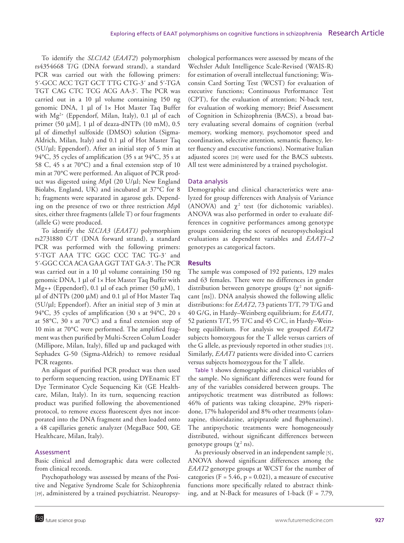To identify the *SLC1A2* (*EAAT2*) polymorphism rs4354668 T/G (DNA forward strand), a standard PCR was carried out with the following primers: 5´-GCC ACC TGT GCT TTG CTG-3´ and 5´-TGA TGT CAG CTC TCG ACG AA-3´. The PCR was carried out in a 10 μl volume containing 150 ng genomic DNA, 1 μl of 1× Hot Master Taq Buffer with Mg<sup>2+</sup> (Eppendorf, Milan, Italy), 0.1 μl of each primer (50 μM], 1 μl of deaza-dNTPs (10 mM), 0.5 μl of dimethyl sulfoxide (DMSO) solution (Sigma-Aldrich, Milan, Italy) and 0.1 μl of Hot Master Taq (5U/μl; Eppendorf). After an initial step of 5 min at 94°C, 35 cycles of amplification (35 s at 94°C, 35 s at 58 C, 45 s at 70°C) and a final extension step of 10 min at 70°C were performed. An aliquot of PCR product was digested using *Msp*I (20 U/μl; New England Biolabs, England, UK) and incubated at 37°C for 8 h; fragments were separated in agarose gels. Depending on the presence of two or three restriction *Msp*I sites, either three fragments (allele T) or four fragments (allele G) were produced.

To identify the *SLC1A3* (*EAAT1)* polymorphism rs2731880 C/T (DNA forward strand), a standard PCR was performed with the following primers: 5´-TGT AAA TTC GGC CCC TAC TG-3´ and 5´-GGC CCA ACA GAA GGT TAT GA-3´. The PCR was carried out in a 10 μl volume containing 150 ng genomic DNA, 1 μl of 1× Hot Master Taq Buffer with Mg++ (Eppendorf), 0.1 μl of each primer (50 μM), 1 μl of dNTPs (200 μM) and 0.1 μl of Hot Master Taq (5U/μl; Eppendorf). After an initial step of 3 min at 94°C, 35 cycles of amplification (30 s at 94°C, 20 s at 58°C, 30 s at 70°C) and a final extension step of 10 min at 70°C were performed. The amplified fragment was then purified by Multi-Screen Colum Loader (Millipore, Milan, Italy), filled up and packaged with Sephadex G-50 (Sigma-Aldrich) to remove residual PCR reagents.

An aliquot of purified PCR product was then used to perform sequencing reaction, using DYEnamic ET Dye Terminator Cycle Sequencing Kit (GE Healthcare, Milan, Italy). In its turn, sequencing reaction product was purified following the abovementioned protocol, to remove excess fluorescent dyes not incorporated into the DNA fragment and then loaded onto a 48 capillaries genetic analyzer (MegaBace 500, GE Healthcare, Milan, Italy).

### Assessment

Basic clinical and demographic data were collected from clinical records.

Psychopathology was assessed by means of the Positive and Negative Syndrome Scale for Schizophrenia [19], administered by a trained psychiatrist. Neuropsy-

chological performances were assessed by means of the Wechsler Adult Intelligence Scale-Revised (WAIS-R) for estimation of overall intellectual functioning; Wisconsin Card Sorting Test (WCST) for evaluation of executive functions; Continuous Performance Test (CPT), for the evaluation of attention; N-back test, for evaluation of working memory; Brief Assessment of Cognition in Schizophrenia (BACS), a broad battery evaluating several domains of cognition (verbal memory, working memory, psychomotor speed and coordination, selective attention, semantic fluency, letter fluency and executive functions). Normative Italian adjusted scores [20] were used for the BACS subtests. All test were administered by a trained psychologist.

### Data analysis

Demographic and clinical characteristics were analyzed for group differences with Analysis of Variance (ANOVA) and  $\chi^2$  test (for dichotomic variables). ANOVA was also performed in order to evaluate differences in cognitive performances among genotype groups considering the scores of neuropsychological evaluations as dependent variables and *EAAT1–2* genotypes as categorical factors.

### **Results**

The sample was composed of 192 patients, 129 males and 63 females. There were no differences in gender distribution between genotype groups  $(\chi^2$  not significant [ns]). DNA analysis showed the following allelic distributions: for *EAAT2*, 73 patients T/T, 79 T/G and 40 G/G, in Hardy–Weinberg equilibrium; for *EAAT1*, 52 patients T/T, 95 T/C and 45 C/C, in Hardy–Weinberg equilibrium. For analysis we grouped *EAAT2* subjects homozygous for the T allele versus carriers of the G allele, as previously reported in other studies [13]. Similarly, *EAAT1* patients were divided into C carriers versus subjects homozygous for the T allele.

Table 1 shows demographic and clinical variables of the sample. No significant differences were found for any of the variables considered between groups. The antipsychotic treatment was distributed as follows: 46% of patients was taking clozapine, 29% risperidone, 17% haloperidol and 8% other treatments (olanzapine, thioridazine, aripiprazole and fluphenazine). The antipsychotic treatments were homogeneously distributed, without significant differences between genotype groups  $(\chi^2 \text{ ns})$ .

As previously observed in an independent sample [5], ANOVA showed significant differences among the *EAAT2* genotype groups at WCST for the number of categories ( $F = 5.46$ ,  $p = 0.021$ ), a measure of executive functions more specifically related to abstract thinking, and at N-Back for measures of 1-back ( $F = 7.79$ ,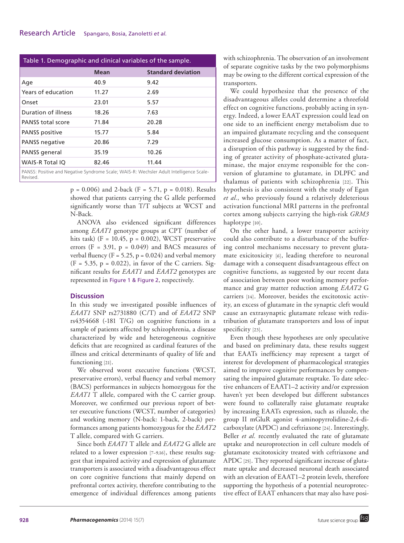| Table 1. Demographic and clinical variables of the sample.                              |             |                           |
|-----------------------------------------------------------------------------------------|-------------|---------------------------|
|                                                                                         | <b>Mean</b> | <b>Standard deviation</b> |
| Age                                                                                     | 40.9        | 9.42                      |
| Years of education                                                                      | 11.27       | 2.69                      |
| Onset                                                                                   | 23.01       | 5.57                      |
| Duration of illness                                                                     | 18.26       | 7.63                      |
| PANSS total score                                                                       | 71.84       | 20.28                     |
| PANSS positive                                                                          | 15.77       | 5.84                      |
| <b>PANSS negative</b>                                                                   | 20.86       | 7.29                      |
| PANSS general                                                                           | 35.19       | 10.26                     |
| <b>WAIS-R Total IO</b>                                                                  | 82.46       | 11.44                     |
| PANSS: Positive and Negative Syndrome Scale: WAIS-R: Wechsler Adult Intelligence Scale- |             |                           |

PANSS: Positive and Negative Syndrome Scale; WAIS-R: Wechsler Adult Intelligence Scale-**Revised** 

> $p = 0.006$ ) and 2-back (F = 5.71,  $p = 0.018$ ). Results showed that patients carrying the G allele performed significantly worse than T/T subjects at WCST and N-Back.

> ANOVA also evidenced significant differences among *EAAT1* genotype groups at CPT (number of hits task) ( $F = 10.45$ ,  $p = 0.002$ ), WCST preservative errors ( $F = 3.91$ ,  $p = 0.049$ ) and BACS measures of verbal fluency ( $F = 5.25$ ,  $p = 0.024$ ) and verbal memory  $(F = 5.35, p = 0.022)$ , in favor of the C carriers. Significant results for *EAAT1* and *EAAT2* genotypes are represented in Figure 1 & Figure 2, respectively.

### **Discussion**

In this study we investigated possible influences of *EAAT1* SNP rs2731880 (C/T) and of *EAAT2* SNP rs4354668 (-181 T/G) on cognitive functions in a sample of patients affected by schizophrenia, a disease characterized by wide and heterogeneous cognitive deficits that are recognized as cardinal features of the illness and critical determinants of quality of life and functioning [21].

We observed worst executive functions (WCST, preservative errors), verbal fluency and verbal memory (BACS) performances in subjects homozygous for the *EAAT1* T allele, compared with the C carrier group. Moreover, we confirmed our previous report of better executive functions (WCST, number of categories) and working memory (N-back: 1-back, 2-back) performances among patients homozygous for the *EAAT2* T allele, compared with G carriers.

Since both *EAAT1* T allele and *EAAT2* G allele are related to a lower expression [7–9,16], these results suggest that impaired activity and expression of glutamate transporters is associated with a disadvantageous effect on core cognitive functions that mainly depend on prefrontal cortex activity, therefore contributing to the emergence of individual differences among patients

with schizophrenia. The observation of an involvement of separate cognitive tasks by the two polymorphisms may be owing to the different cortical expression of the transporters.

We could hypothesize that the presence of the disadvantageous alleles could determine a threefold effect on cognitive functions, probably acting in synergy. Indeed, a lower EAAT expression could lead on one side to an inefficient energy metabolism due to an impaired glutamate recycling and the consequent increased glucose consumption. As a matter of fact, a disruption of this pathway is suggested by the finding of greater activity of phosphate-activated glutaminase, the major enzyme responsible for the conversion of glutamine to glutamate, in DLPFC and thalamus of patients with schizophrenia [22]. This hypothesis is also consistent with the study of Egan *et al.*, who previously found a relatively deleterious activation functional MRI patterns in the prefrontal cortex among subjects carrying the high-risk *GRM3* haplotype [10].

On the other hand, a lower transporter activity could also contribute to a disturbance of the buffering control mechanisms necessary to prevent glutamate exicitoxicity [6], leading therefore to neuronal damage with a consequent disadvantageous effect on cognitive functions, as suggested by our recent data of association between poor working memory performance and gray matter reduction among *EAAT2* G carriers [14]. Moreover, besides the excitotoxic activity, an excess of glutamate in the synaptic cleft would cause an extrasynaptic glutamate release with redistribution of glutamate transporters and loss of input specificity [23].

Even though these hypotheses are only speculative and based on preliminary data, these results suggest that EAATs inefficiency may represent a target of interest for development of pharmacological strategies aimed to improve cognitive performances by compensating the impaired glutamate reuptake. To date selective enhancers of EAAT1–2 activity and/or expression haven't yet been developed but different substances were found to collaterally raise glutamate reuptake by increasing EAATs expression, such as riluzole, the group II mGluR agonist 4-aminopyrrolidine-2,4-dicarboxylate (APDC) and ceftriaxone [24]. Interestingly, Beller *et al.* recently evaluated the rate of glutamate uptake and neuroprotection in cell culture models of glutamate excitotoxicity treated with ceftriaxone and APDC [25]. They reported significant increase of glutamate uptake and decreased neuronal death associated with an elevation of EAAT1–2 protein levels, therefore supporting the hypothesis of a potential neuroprotective effect of EAAT enhancers that may also have posi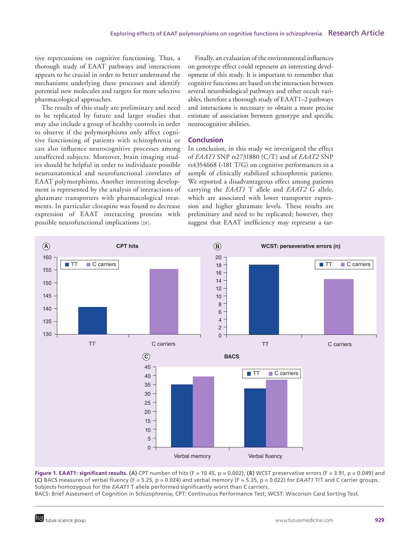tive repercussions on cognitive functioning. Thus, a thorough study of EAAT pathways and interactions appears to be crucial in order to better understand the mechanisms underlying these processes and identify potential new molecules and targets for more selective pharmacological approaches.

The results of this study are preliminary and need to be replicated by future and larger studies that may also include a group of healthy controls in order to observe if the polymorphisms only affect cognitive functioning of patients with schizophrenia or can also influence neurocognitive processes among unaffected subjects. Moreover, brain imaging studies should be helpful in order to individuate possible neuroanatomical and neurofunctional correlates of EAAT polymorphisms. Another interesting development is represented by the analysis of interactions of glutamate transporters with pharmacological treatments. In particular clozapine was found to decrease expression of EAAT interacting proteins with possible neurofunctional implications [26].

Finally, an evaluation of the environmental influences on genotype effect could represent an interesting development of this study. It is important to remember that cognitive functions are based on the interaction between several neurobiological pathways and other occult variables, therefore a thorough study of EAAT1–2 pathways and interactions is necessary to obtain a more precise estimate of association between genotype and specific neurocognitive abilities.

### **Conclusion**

In conclusion, in this study we investigated the effect of *EAAT1* SNP rs2731880 (C/T) and of *EAAT2* SNP rs4354668 (-181 T/G) on cognitive performances in a sample of clinically stabilized schizophrenic patients. We reported a disadvantageous effect among patients carrying the *EAAT1* T allele and *EAAT2* G allele, which are associated with lower transporter expression and higher glutamate levels. These results are preliminary and need to be replicated; however, they suggest that EAAT inefficiency may represent a tar-



**Figure 1. EAAT1: significant results. (A)** CPT number of hits (F = 10.45, p = 0.002), **(B)** WCST preservative errors (F = 3.91, p = 0.049) and **(C)** BACS measures of verbal fluency (F = 5.25, p = 0.024) and verbal memory (F = 5.35, p = 0.022) for *EAAT1* T/T and C carrier groups. Subjects homozygous for the *EAAT1* T allele performed significantly worst than C carriers.

BACS: Brief Assesment of Cognition in Schizophrenia; CPT: Continuous Performance Test; WCST: Wisconsin Card Sorting Test.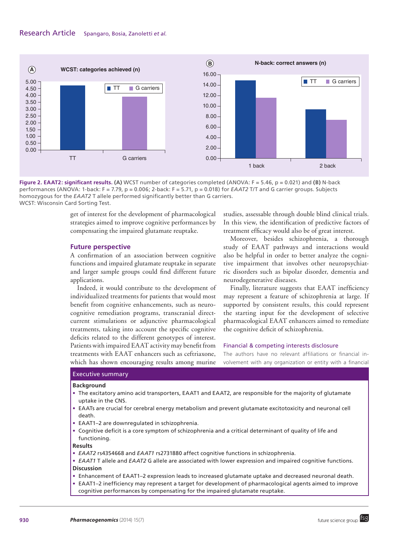## Research Article Spangaro, Bosia, Zanoletti *et al.*



**Figure 2. EAAT2: significant results. (A)** WCST number of categories completed (ANOVA: F = 5.46, p = 0.021) and **(B)** N-back performances (ANOVA: 1-back: F = 7.79, p = 0.006; 2-back: F = 5.71, p = 0.018) for *EAAT2* T/T and G carrier groups. Subjects homozygous for the *EAAT2* T allele performed significantly better than G carriers. WCST: Wisconsin Card Sorting Test.

get of interest for the development of pharmacological strategies aimed to improve cognitive performances by compensating the impaired glutamate reuptake.

#### **Future perspective**

A confirmation of an association between cognitive functions and impaired glutamate reuptake in separate and larger sample groups could find different future applications.

Indeed, it would contribute to the development of individualized treatments for patients that would most benefit from cognitive enhancements, such as neurocognitive remediation programs, transcranial directcurrent stimulations or adjunctive pharmacological treatments, taking into account the specific cognitive deficits related to the different genotypes of interest. Patients with impaired EAAT activity may benefit from treatments with EAAT enhancers such as ceftriaxone, which has shown encouraging results among murine

studies, assessable through double blind clinical trials. In this view, the identification of predictive factors of treatment efficacy would also be of great interest.

Moreover, besides schizophrenia, a thorough study of EAAT pathways and interactions would also be helpful in order to better analyze the cognitive impairment that involves other neuropsychiatric disorders such as bipolar disorder, dementia and neurodegenerative diseases.

Finally, literature suggests that EAAT inefficiency may represent a feature of schizophrenia at large. If supported by consistent results, this could represent the starting input for the development of selective pharmacological EAAT enhancers aimed to remediate the cognitive deficit of schizophrenia.

### Financial & competing interests disclosure

The authors have no relevant affiliations or financial involvement with any organization or entity with a financial

#### Executive summary

#### **Background**

- • The excitatory amino acid transporters, EAAT1 and EAAT2, are responsible for the majority of glutamate uptake in the CNS.
- • EAATs are crucial for cerebral energy metabolism and prevent glutamate excitotoxicity and neuronal cell death.
- EAAT1-2 are downregulated in schizophrenia.
- • Cognitive deficit is a core symptom of schizophrenia and a critical determinant of quality of life and functioning.

#### **Results**

- *EAAT2* rs4354668 and *EAAT1* rs2731880 affect cognitive functions in schizophrenia.
- • *EAAT1* T allele and *EAAT2* G allele are associated with lower expression and impaired cognitive functions. **Discussion**
- • Enhancement of EAAT1–2 expression leads to increased glutamate uptake and decreased neuronal death.
- EAAT1–2 inefficiency may represent a target for development of pharmacological agents aimed to improve cognitive performances by compensating for the impaired glutamate reuptake.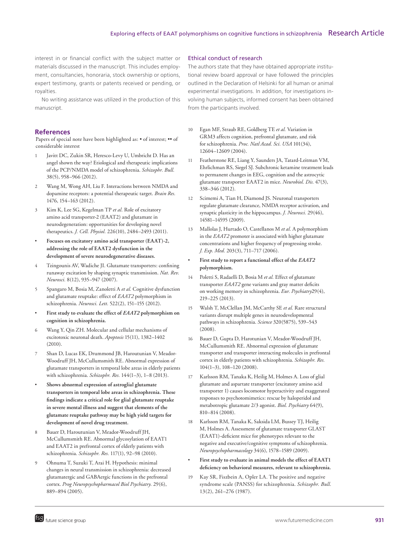interest in or financial conflict with the subject matter or materials discussed in the manuscript. This includes employment, consultancies, honoraria, stock ownership or options, expert testimony, grants or patents received or pending, or royalties.

No writing assistance was utilized in the production of this manuscript.

### **References**

Papers of special note have been highlighted as: • of interest; •• of considerable interest

- Javitt DC, Zukin SR, Heresco-Levy U, Umbricht D. Has an angel shown the way? Etiological and therapeutic implications of the PCP/NMDA model of schizophrenia. *Schizophr. Bull.* 38(5), 958–966 (2012).
- 2 Wang M, Wong AH, Liu F. Interactions between NMDA and dopamine receptors: a potential therapeutic target. *Brain Res.* 1476, 154–163 (2012).
- 3 Kim K, Lee SG, Kegelman TP *et al.* Role of excitatory amino acid transporter-2 (EAAT2) and glutamate in neurodegeneration: opportunities for developing novel therapeutics. *J. Cell. Physiol.* 226(10), 2484–2493 (2011).
- **Focuses on excitatory amino acid transporter (EAAT)-2, addressing the role of EAAT2 dysfunction in the development of severe neurodegenerative diseases.**
- Tzingounis AV, Wadiche JI. Glutamate transporters: confining runaway excitation by shaping synaptic transmission. *Nat. Rev. Neurosci.* 8(12), 935–947 (2007).
- 5 Spangaro M, Bosia M, Zanoletti A *et al.* Cognitive dysfunction and glutamate reuptake: effect of *EAAT2* polymorphism in schizophrenia. *Neurosci. Lett.* 522(2), 151–155 (2012).
- **First study to evaluate the effect of** *EAAT2* **polymorphism on cognition in schizophrenia.**
- 6 Wang Y, Qin ZH. Molecular and cellular mechanisms of excitotoxic neuronal death. *Apoptosis* 15(11), 1382–1402 (2010).
- Shan D, Lucas EK, Drummond JB, Haroutunian V, Meador-Woodruff JH, McCullumsmith RE. Abnormal expression of glutamate transporters in temporal lobe areas in elderly patients with schizophrenia. *Schizophr. Res.* 144(1–3), 1–8 (2013).
- **Shows abnormal expression of astroglial glutamate transporters in temporal lobe areas in schizophrenia. These findings indicate a critical role for glial glutamate reuptake in severe mental illness and suggest that elements of the glutamate reuptake pathway may be high yield targets for development of novel drug treatment.**
- 8 Bauer D, Haroutunian V, Meador-Woodruff JH, McCullumsmith RE. Abnormal glycosylation of EAAT1 and EAAT2 in prefrontal cortex of elderly patients with schizophrenia. *Schizophr. Res.* 117(1), 92–98 (2010).
- 9 Ohnuma T, Suzuki T, Arai H. Hypothesis: minimal changes in neural transmission in schizophrenia: decreased glutamatergic and GABAergic functions in the prefrontal cortex. *Prog Neuropsychopharmacol Biol Psychiatry.* 29(6), 889–894 (2005).

### Ethical conduct of research

The authors state that they have obtained appropriate institutional review board approval or have followed the principles outlined in the Declaration of Helsinki for all human or animal experimental investigations. In addition, for investigations involving human subjects, informed consent has been obtained from the participants involved.

- 10 Egan MF, Straub RE, Goldberg TE *et al.* Variation in GRM3 affects cognition, prefrontal glutamate, and risk for schizophrenia. *Proc. Natl Acad. Sci. USA* 101(34), 12604–12609 (2004).
- 11 Featherstone RE, Liang Y, Saunders JA, Tatard-Leitman VM, Ehrlichman RS, Siegel SJ. Subchronic ketamine treatment leads to permanent changes in EEG, cognition and the astrocytic glutamate transporter EAAT2 in mice. *Neurobiol. Dis.* 47(3), 338–346 (2012).
- 12 Scimemi A, Tian H, Diamond JS. Neuronal transporters regulate glutamate clearance, NMDA receptor activation, and synaptic plasticity in the hippocampus. *J. Neurosci.* 29(46), 14581–14595 (2009).
- 13 Mallolas J, Hurtado O, Castellanos M *et al.* A polymorphism in the *EAAT2* promoter is associated with higher glutamate concentrations and higher frequency of progressing stroke. *J. Exp. Med.* 203(3), 711–717 (2006).
	- **First study to report a functional effect of the** *EAAT2* **polymorphism.**
- 14 Poletti S, Radaelli D, Bosia M *et al.* Effect of glutamate transporter *EAAT2* gene variants and gray matter deficits on working memory in schizophrenia. *Eur. Psychiatry*29(4), 219–225 (2013).
- 15 Walsh T, McClellan JM, McCarthy SE *et al.* Rare structural variants disrupt multiple genes in neurodevelopmental pathways in schizophrenia. *Science* 320(5875), 539–543  $(2008)$
- 16 Bauer D, Gupta D, Harotunian V, Meador-Woodruff JH, McCullumsmith RE. Abnormal expression of glutamate transporter and transporter interacting molecules in prefrontal cortex in elderly patients with schizophrenia. *Schizophr. Res.* 104(1–3), 108–120 (2008).
- 17 Karlsson RM, Tanaka K, Heilig M, Holmes A. Loss of glial glutamate and aspartate transporter (excitatory amino acid transporter 1) causes locomotor hyperactivity and exaggerated responses to psychotomimetics: rescue by haloperidol and metabotropic glutamate 2/3 agonist. *Biol. Psychiatry* 64(9), 810–814 (2008).
- 18 Karlsson RM, Tanaka K, Saksida LM, Bussey TJ, Heilig M, Holmes A. Assessment of glutamate transporter GLAST (EAAT1)-deficient mice for phenotypes relevant to the negative and executive/cognitive symptoms of schizophrenia. *Neuropsychopharmacology* 34(6), 1578–1589 (2009).
- **First study to evaluate in animal models the effect of EAAT1 deficiency on behavioral measures, relevant to schizophrenia.**
- 19 Kay SR, Fiszbein A, Opler LA. The positive and negative syndrome scale (PANSS) for schizophrenia. *Schizophr. Bull.* 13(2), 261–276 (1987).